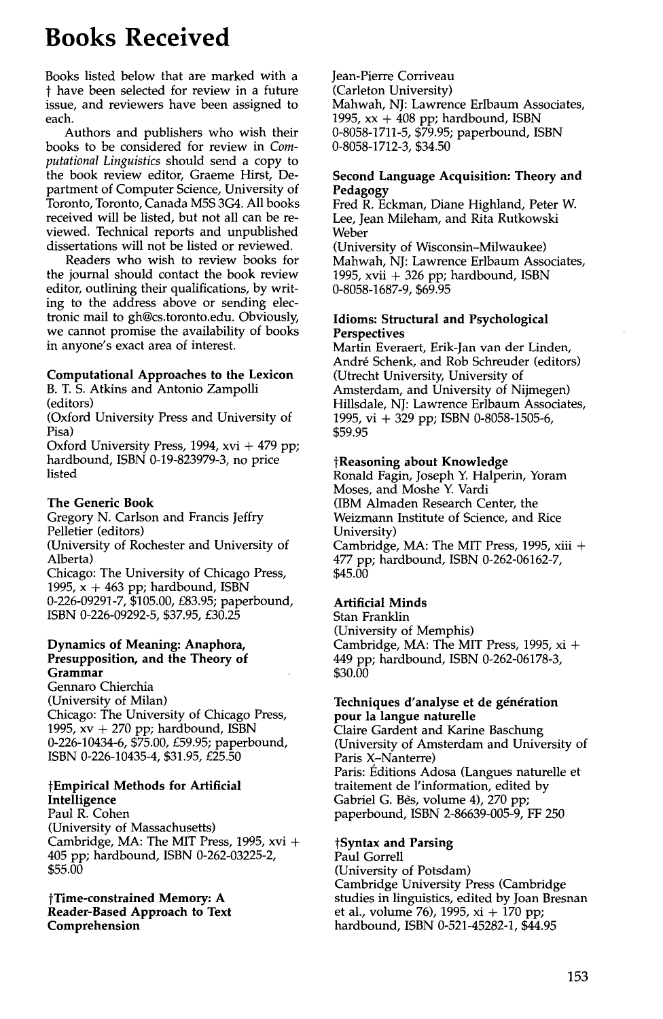# **Books Received**

Books listed below that are marked with a t have been selected for review in a future issue, and reviewers have been assigned to each.

Authors and publishers who wish their books to be considered for review in *Computational Linguistics* should send a copy to the book review editor, Graeme Hirst, Department of Computer Science, University of Toronto, Toronto, Canada M5S 3G4. All books received will be listed, but not all can be reviewed. Technical reports and unpublished dissertations will not be listed or reviewed.

Readers who wish to review books for the journal should contact the book review editor, outlining their qualifications, by writing to the address above or sending electronic mail to gh@cs.toronto.edu. Obviously, we cannot promise the availability of books in anyone's exact area of interest.

# **Computational Approaches to the Lexicon**

B. T. S. Atkins and Antonio Zampolli (editors)

(Oxford University Press and University of Pisa)

Oxford University Press, 1994, xvi + 479 pp; hardbound, ISBN 0-19-823979-3, no price listed

# **The Generic Book**

Gregory N. Carlson and Francis Jeffry Pelletier (editors) (University of Rochester and University of Alberta) Chicago: The University of Chicago Press, 1995,  $x + 463$  pp; hardbound, ISBN 0-226-09291-7, \$105.00, £83.95; paperbound, ISBN 0-226-09292-5, \$37.95, £30.25

#### **Dynamics of Meaning: Anaphora, Presupposition, and the Theory of Grammar**

Gennaro Chierchia (University of Milan) Chicago: The University of Chicago Press, 1995,  $xy + 270$  pp; hardbound, ISBN 0-226-10434-6, \$75.00, £59.95; paperbound, ISBN 0-226-10435-4, \$31.95, £25.50

# **tEmpirical Methods for Artificial Intelligence**

Paul R. Cohen (University of Massachusetts) Cambridge, MA: The MIT Press, 1995, xvi + 405 pp; hardbound, ISBN 0-262-03225-2, \$55.00

#### **tTime-constrained Memory: A Reader-Based Approach to Text Comprehension**

Jean-Pierre Corriveau (Carleton University) Mahwah, NJ: Lawrence Erlbaum Associates, 1995,  $xx + 408$  pp; hardbound, ISBN 0-8058-1711-5, \$79.95; paperbound, ISBN 0-8058-1712-3, \$34.50

#### **Second Language Acquisition: Theory and Pedagogy**

Fred R. Eckman, Diane Highland, Peter W. Lee, Jean Mileham, and Rita Rutkowski Weber

(University of Wisconsin-Milwaukee) Mahwah, NJ: Lawrence Erlbaum Associates, 1995, xvii  $+$  326 pp; hardbound, ISBN 0-8058-1687-9, \$69.95

#### **Idioms: Structural and Psychological Perspectives**

Martin Everaert, Erik-Jan van der Linden, Andr6 Schenk, and Rob Schreuder (editors) (Utrecht University, University of Amsterdam, and University of Nijmegen) Hillsdale, NJ: Lawrence Erlbaum Associates, 1995, vi + 329 pp; ISBN 0-8058-1505-6, \$59.95

# **tReasoning about Knowledge**

Ronald Fagin, Joseph Y. Halperin, Yoram Moses, and Moshe Y. Vardi (IBM Almaden Research Center, the Weizmann Institute of Science, and Rice University) Cambridge, MA: The MIT Press, 1995, xiii +

477 pp; hardbound, ISBN 0-262-06162-7, \$45.00

# **Artificial Minds**

Stan Franklin (University of Memphis) Cambridge, MA: The MIT Press, 1995, xi + 449 pp; hardbound, ISBN 0-262-06178-3, \$30.00

#### **Techniques d'analyse et de génération pour la langue naturelle**

Claire Gardent and Karine Baschung (University of Amsterdam and University of Paris X-Nanterre) Paris: Éditions Adosa (Langues naturelle et traitement de l'information, edited by Gabriel G. Bès, volume 4), 270 pp; paperbound, ISBN 2-86639-005-9, FF 250

#### **tSyntax and Parsing**  Paul Gorrell (University of Potsdam) Cambridge University Press (Cambridge studies in linguistics, edited by Joan Bresnan et al., volume 76), 1995, xi + 170 pp; hardbound, ISBN 0-521-45282-1, \$44.95